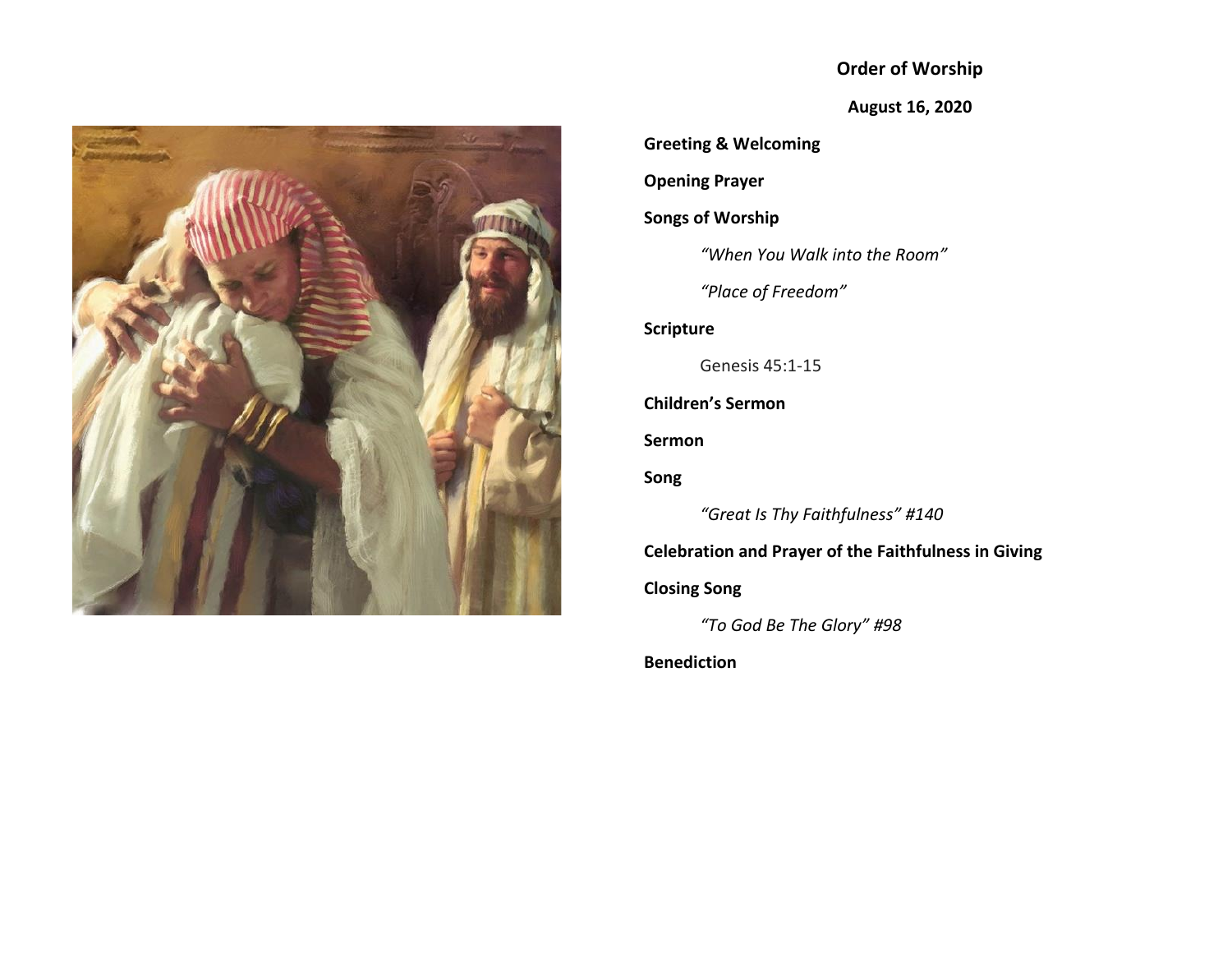# **Order of Worship**

**August 16, 2020**



**Greeting & Welcoming Opening Prayer Songs of Worship** *"When You Walk into the Room" "Place of Freedom"* **Scripture** Genesis 45:1-15 **Children's Sermon Sermon Song** *"Great Is Thy Faithfulness" #140* **Celebration and Prayer of the Faithfulness in Giving Closing Song** *"To God Be The Glory" #98* **Benediction**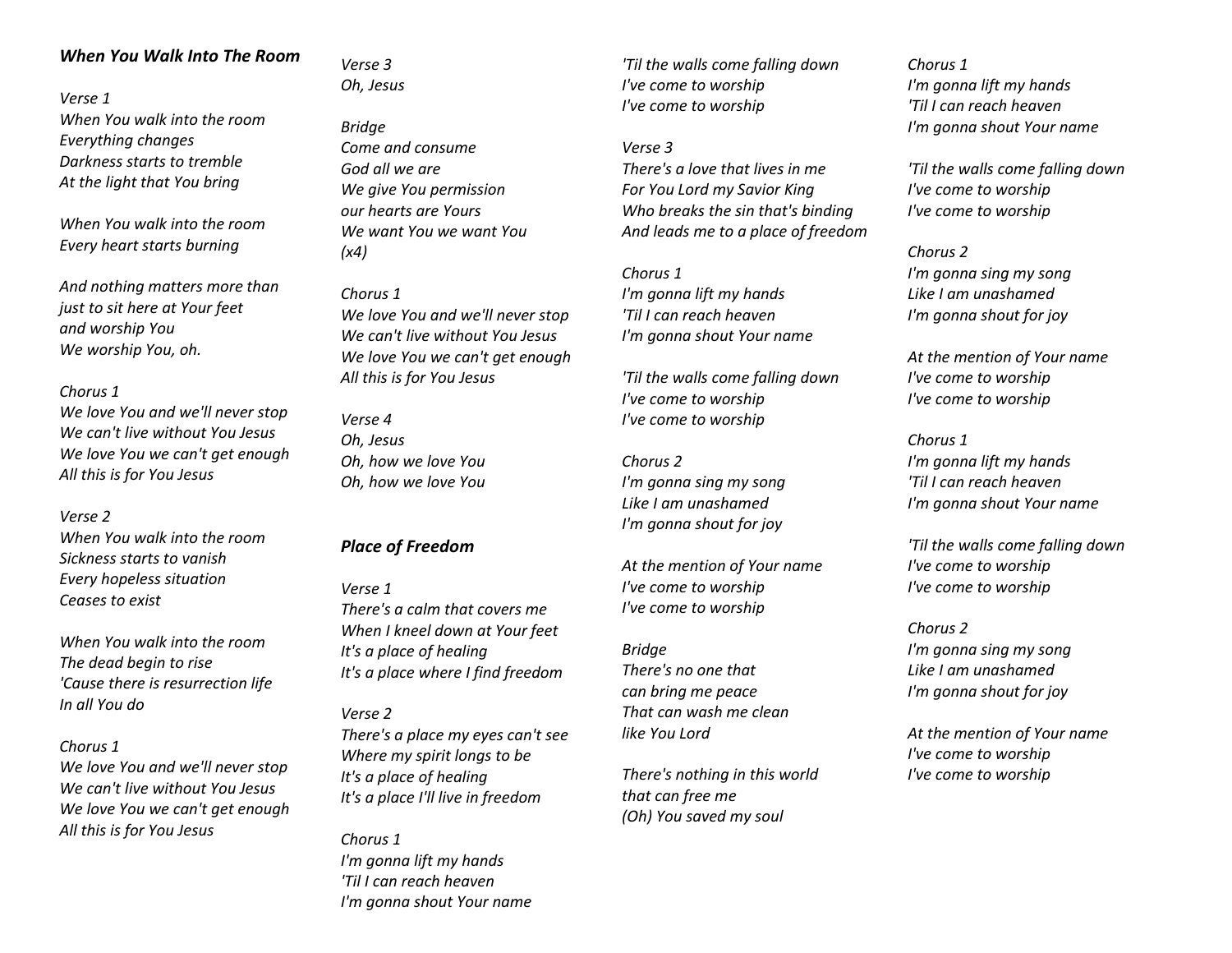## *When You Walk Into The Room*

*Verse 1 When You walk into the room Everything changes Darkness starts to tremble At the light that You bring*

*When You walk into the room Every heart starts burning*

*And nothing matters more than just to sit here at Your feet and worship You We worship You, oh.*

#### *Chorus 1*

*We love You and we'll never stop We can't live without You Jesus We love You we can't get enough All this is for You Jesus*

### *Verse 2*

*When You walk into the room Sickness starts to vanish Every hopeless situation Ceases to exist*

*When You walk into the room The dead begin to rise 'Cause there is resurrection life In all You do*

### *Chorus 1*

*We love You and we'll never stop We can't live without You Jesus We love You we can't get enough All this is for You Jesus*

### *Verse 3 Oh, Jesus*

*Bridge Come and consume God all we are We give You permission our hearts are Yours We want You we want You (x4)*

#### *Chorus 1*

*We love You and we'll never stop We can't live without You Jesus We love You we can't get enough All this is for You Jesus*

# *Verse 4 Oh, Jesus*

*Oh, how we love You Oh, how we love You*

# *Place of Freedom*

### *Verse 1*

*There's a calm that covers me When I kneel down at Your feet It's a place of healing It's a place where I find freedom*

### *Verse 2*

*There's a place my eyes can't see Where my spirit longs to be It's a place of healing It's a place I'll live in freedom*

*Chorus 1 I'm gonna lift my hands 'Til I can reach heaven I'm gonna shout Your name*

*'Til the walls come falling down I've come to worship I've come to worship*

## *Verse 3 There's a love that lives in me For You Lord my Savior King Who breaks the sin that's binding And leads me to a place of freedom*

*Chorus 1 I'm gonna lift my hands 'Til I can reach heaven I'm gonna shout Your name*

*'Til the walls come falling down I've come to worship I've come to worship*

# *Chorus 2 I'm gonna sing my song Like I am unashamed I'm gonna shout for joy*

*At the mention of Your name I've come to worship I've come to worship*

# *Bridge*

*There's no one that can bring me peace That can wash me clean like You Lord*

*There's nothing in this world that can free me (Oh) You saved my soul*

*Chorus 1 I'm gonna lift my hands 'Til I can reach heaven I'm gonna shout Your name*

*'Til the walls come falling down I've come to worship I've come to worship*

*Chorus 2 I'm gonna sing my song Like I am unashamed I'm gonna shout for joy*

*At the mention of Your name I've come to worship I've come to worship*

*Chorus 1 I'm gonna lift my hands 'Til I can reach heaven I'm gonna shout Your name*

*'Til the walls come falling down I've come to worship I've come to worship*

*Chorus 2 I'm gonna sing my song Like I am unashamed I'm gonna shout for joy*

*At the mention of Your name I've come to worship I've come to worship*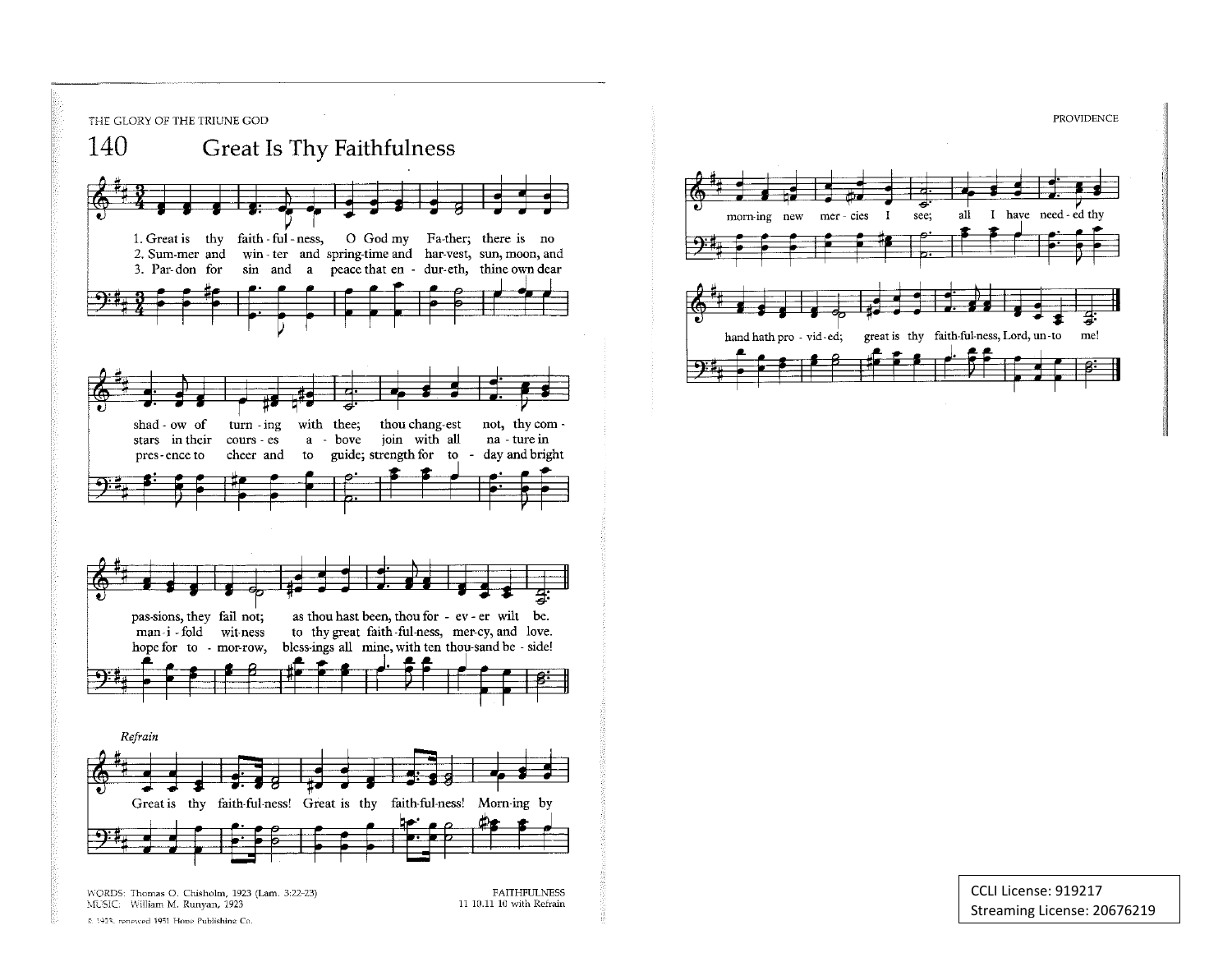





CCLI License: 919217 Streaming License: 20676219

PROVIDENCE